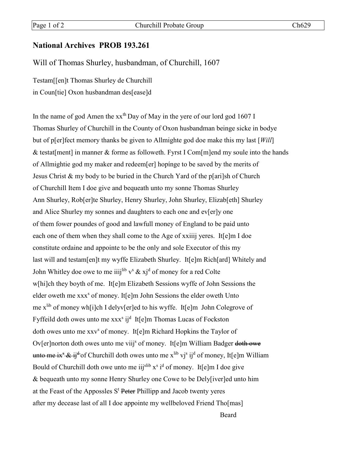## **National Archives PROB 193.261**

## Will of Thomas Shurley, husbandman, of Churchill, 1607

Testam[[en]t Thomas Shurley de Churchill in Coun[tie] Oxon husbandman des[ease]d

In the name of god Amen the xxth Day of May in the yere of our lord god 1607 I Thomas Shurley of Churchill in the County of Oxon husbandman beinge sicke in bodye but of p[er]fect memory thanks be given to Allmighte god doe make this my last [*Will*] & testat[ment] in manner & forme as followeth. Fyrst I Com[m]end my soule into the hands of Allmightie god my maker and redeem[er] hopínge to be saved by the merits of Jesus Christ & my body to be buried in the Church Yard of the p[ari]sh of Church of Churchill Item I doe give and bequeath unto my sonne Thomas Shurley Ann Shurley, Rob[er]te Shurley, Henry Shurley, John Shurley, Elizab[eth] Shurley and Alice Shurley my sonnes and daughters to each one and ev[er]y one of them fower poundes of good and lawfull money of England to be paid unto each one of them when they shall come to the Age of xxiiij yeres. It[e]m I doe constitute ordaine and appointe to be the only and sole Executor of this my last will and testam[en]t my wyffe Elizabeth Shurley. It[e]m Rich[ard] Whitely and John Whitley doe owe to me iiijlib v<sup>s</sup>  $\&$  xj<sup>d</sup> of money for a red Colte w[hi]ch they boyth of me. It[e]m Elizabeth Sessions wyffe of John Sessions the elder oweth me xxx<sup>s</sup> of money. It<sup>[e]</sup>m John Sessions the elder oweth Unto me xlib of money wh[i]ch I delyv[er]ed to his wyffe. It[e]m John Colegrove of Fyffeild doth owes unto me xxx<sup>s</sup> ij<sup>d</sup> It[e]m Thomas Lucas of Fockston doth owes unto me xxv<sup>s</sup> of money. It[e]m Richard Hopkins the Taylor of Ov[er]norton doth owes unto me viij<sup>s</sup> of money. It[e]m William Badger doth owe unto me ix<sup>s</sup> & ij<sup>d</sup> of Churchill doth owes unto me x<sup>lib</sup> vj<sup>s</sup> ij<sup>d</sup> of money, It[e]m William Bould of Churchill doth owe unto me iij<sup>slib</sup> x<sup>s</sup> i<sup>d</sup> of money. It[e]m I doe give & bequeath unto my sonne Henry Shurley one Cowe to be Dely[iver]ed unto him at the Feast of the Appossles  $S<sup>t</sup>$  Peter Phillipp and Jacob twenty yeres after my decease last of all I doe appointe my wellbeloved Friend Tho[mas]

Beard